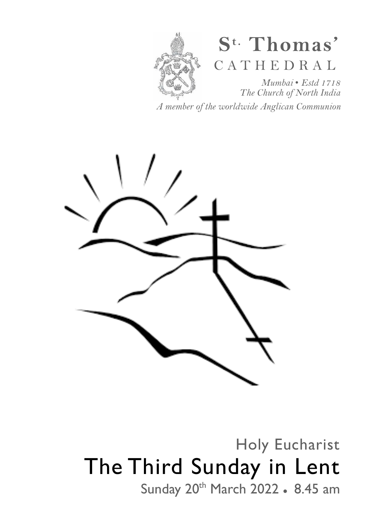

# **S t. Thomas'**  C A T H E D R A L

*Mumbai* • *Estd 1718 The Church of North India* 

*A member of the worldwide Anglican Communion* 



Holy Eucharist The Third Sunday in Lent Sunday 20<sup>th</sup> March 2022 • 8.45 am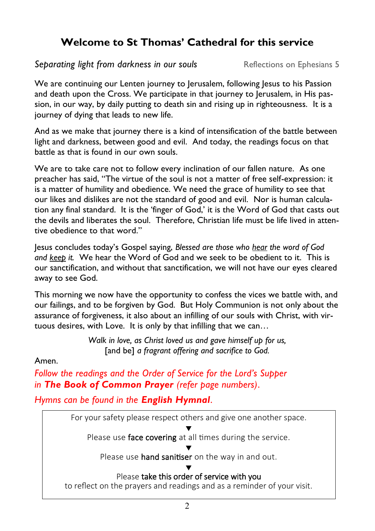# **Welcome to St Thomas' Cathedral for this service**

**Separating light from darkness in our souls Reflections on Ephesians 5** 

We are continuing our Lenten journey to Jerusalem, following Jesus to his Passion and death upon the Cross. We participate in that journey to Jerusalem, in His passion, in our way, by daily putting to death sin and rising up in righteousness. It is a journey of dying that leads to new life.

And as we make that journey there is a kind of intensification of the battle between light and darkness, between good and evil. And today, the readings focus on that battle as that is found in our own souls.

We are to take care not to follow every inclination of our fallen nature. As one preacher has said, "The virtue of the soul is not a matter of free self-expression: it is a matter of humility and obedience. We need the grace of humility to see that our likes and dislikes are not the standard of good and evil. Nor is human calculation any final standard. It is the 'finger of God,' it is the Word of God that casts out the devils and liberates the soul. Therefore, Christian life must be life lived in attentive obedience to that word."

Jesus concludes today's Gospel saying, *Blessed are those who hear the word of God and keep it.* We hear the Word of God and we seek to be obedient to it. This is our sanctification, and without that sanctification, we will not have our eyes cleared away to see God.

This morning we now have the opportunity to confess the vices we battle with, and our failings, and to be forgiven by God. But Holy Communion is not only about the assurance of forgiveness, it also about an infilling of our souls with Christ, with virtuous desires, with Love. It is only by that infilling that we can…

> *Walk in love, as Christ loved us and gave himself up for us,*  [and be] *a fragrant offering and sacrifice to God.*

Amen.

*Follow the readings and the Order of Service for the Lord's Supper in The Book of Common Prayer (refer page numbers)*.

*Hymns can be found in the English Hymnal*.

For your safety please respect others and give one another space.

▼ Please use face covering at all times during the service.

▼ Please use hand sanitiser on the way in and out.

▼ Please take this order of service with you

to reflect on the prayers and readings and as a reminder of your visit.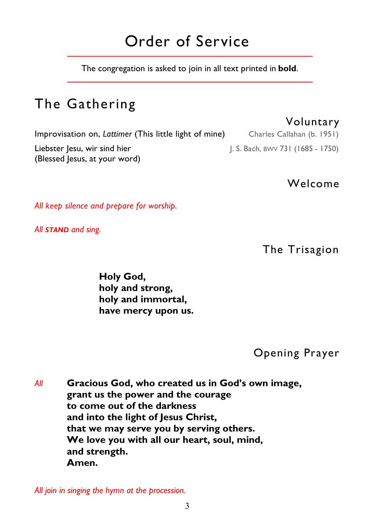# Order of Service

The congregation is asked to join in all text printed in **bold**.

# The Gathering

Improvisation on, *Lattimer* (This little light of mine) Charles Callahan (b. 1951) Liebster Jesu, wir sind hier **J. S. Bach, BWV 731 (1685 - 1750)** (Blessed Jesus, at your word)

Welcome

*All keep silence and prepare for worship.* 

*All STAND and sing.* 

The Trisagion

 **Holy God, holy and strong, holy and immortal, have mercy upon us.** 

Opening Prayer

*All* **Gracious God, who created us in God's own image, grant us the power and the courage to come out of the darkness and into the light of Jesus Christ, that we may serve you by serving others. We love you with all our heart, soul, mind, and strength. Amen.** 

*All join in singing the hymn at the procession.* 

#### Voluntary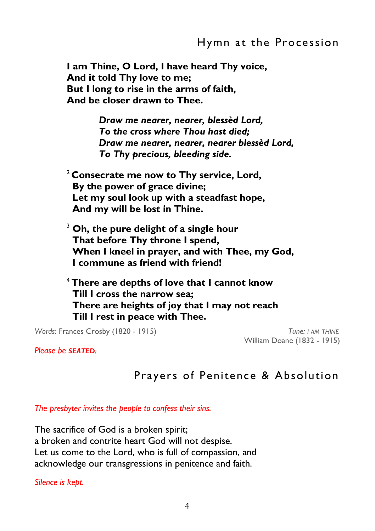#### Hymn at the Procession

**I am Thine, O Lord, I have heard Thy voice, And it told Thy love to me; But I long to rise in the arms of faith, And be closer drawn to Thee.** 

> *Draw me nearer, nearer, blessèd Lord, To the cross where Thou hast died; Draw me nearer, nearer, nearer blessèd Lord, To Thy precious, bleeding side.*

<sup>2</sup>**Consecrate me now to Thy service, Lord, By the power of grace divine; Let my soul look up with a steadfast hope, And my will be lost in Thine.** 

3  **Oh, the pure delight of a single hour That before Thy throne I spend, When I kneel in prayer, and with Thee, my God, I commune as friend with friend!** 

<sup>4</sup>**There are depths of love that I cannot know Till I cross the narrow sea; There are heights of joy that I may not reach Till I rest in peace with Thee.** 

 *Words:* Frances Crosby (1820 - 1915) *Tune: I AM THINE*

William Doane (1832 - 1915)

*Please be SEATED.* 

## Prayers of Penitence & Absolution

*The presbyter invites the people to confess their sins.* 

The sacrifice of God is a broken spirit; a broken and contrite heart God will not despise. Let us come to the Lord, who is full of compassion, and acknowledge our transgressions in penitence and faith.

*Silence is kept.*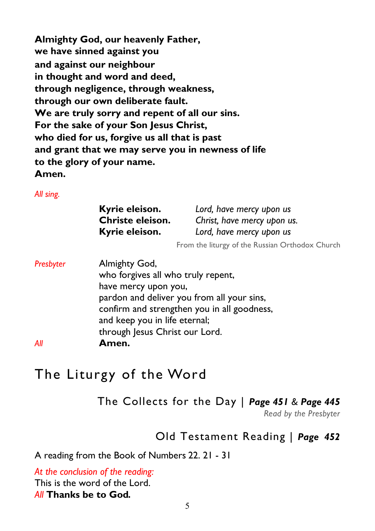**Almighty God, our heavenly Father, we have sinned against you and against our neighbour in thought and word and deed, through negligence, through weakness, through our own deliberate fault. We are truly sorry and repent of all our sins. For the sake of your Son Jesus Christ, who died for us, forgive us all that is past and grant that we may serve you in newness of life to the glory of your name. Amen.** 

*All sing.* 

| Kyrie eleison.   | Lord, have mercy upon us    |
|------------------|-----------------------------|
| Christe eleison. | Christ, have mercy upon us. |
| Kyrie eleison.   | Lord, have mercy upon us    |

From the liturgy of the Russian Orthodox Church

**Presbyter Almighty God,**  who forgives all who truly repent, have mercy upon you, pardon and deliver you from all your sins, confirm and strengthen you in all goodness, and keep you in life eternal; through Jesus Christ our Lord. *All* **Amen.** 

# The Liturgy of the Word

The Collects for the Day | *Page 451 & Page 445* 

*Read by the Presbyter* 

## Old Testament Reading | *Page 452*

A reading from the Book of Numbers 22. 21 - 31

*At the conclusion of the reading:*  This is the word of the Lord. *All* **Thanks be to God***.*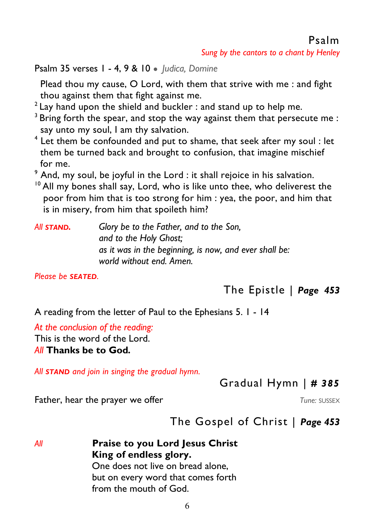*Sung by the cantors to a chant by Henley* 

Psalm 35 verses 1 - 4, 9 & 10 ● *Judica, Domine* 

 Plead thou my cause, O Lord, with them that strive with me : and fight thou against them that fight against me.

- $2$  Lay hand upon the shield and buckler : and stand up to help me.
- $3$  Bring forth the spear, and stop the way against them that persecute me : say unto my soul, I am thy salvation.
- $^4$  Let them be confounded and put to shame, that seek after my soul : let them be turned back and brought to confusion, that imagine mischief for me.
- $^9$  And, my soul, be joyful in the Lord : it shall rejoice in his salvation.
- $10$  All my bones shall say, Lord, who is like unto thee, who deliverest the poor from him that is too strong for him : yea, the poor, and him that is in misery, from him that spoileth him?

| All <b>STAND.</b> | Glory be to the Father, and to the Son,                |
|-------------------|--------------------------------------------------------|
|                   | and to the Holy Ghost;                                 |
|                   | as it was in the beginning, is now, and ever shall be: |
|                   | world without end. Amen.                               |

*Please be SEATED.* 

The Epistle | *Page 453* 

A reading from the letter of Paul to the Ephesians 5. 1 - 14

*At the conclusion of the reading:*  This is the word of the Lord.

*All* **Thanks be to God***.* 

*All STAND and join in singing the gradual hymn.* 

Gradual Hymn | *# 385* 

**Father, hear the prayer we offer** *Tune: SUSSEX Tune: SUSSEX* 

The Gospel of Christ | *Page 453* 

*All* **Praise to you Lord Jesus Christ King of endless glory.**  One does not live on bread alone, but on every word that comes forth from the mouth of God.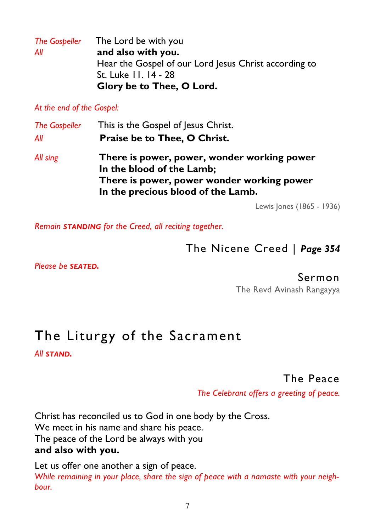|     | The Gospeller The Lord be with you                    |
|-----|-------------------------------------------------------|
| All | and also with you.                                    |
|     | Hear the Gospel of our Lord Jesus Christ according to |
|     | St. Luke 11. 14 - 28                                  |
|     | Glory be to Thee, O Lord.                             |

*At the end of the Gospel:* 

| <b>The Gospeller</b> | This is the Gospel of Jesus Christ.                                                                                                                          |
|----------------------|--------------------------------------------------------------------------------------------------------------------------------------------------------------|
| All                  | Praise be to Thee, O Christ.                                                                                                                                 |
| All sing             | There is power, power, wonder working power<br>In the blood of the Lamb;<br>There is power, power wonder working power<br>In the precious blood of the Lamb. |

Lewis Jones (1865 - 1936)

*Remain STANDING for the Creed, all reciting together.*

## The Nicene Creed | *Page 354*

*Please be SEATED.* 

#### Sermon

The Revd Avinash Rangayya

# The Liturgy of the Sacrament

*All STAND.* 

### The Peace

*The Celebrant offers a greeting of peace.*

Christ has reconciled us to God in one body by the Cross. We meet in his name and share his peace. The peace of the Lord be always with you **and also with you.** 

Let us offer one another a sign of peace. *While remaining in your place, share the sign of peace with a namaste with your neighbour.*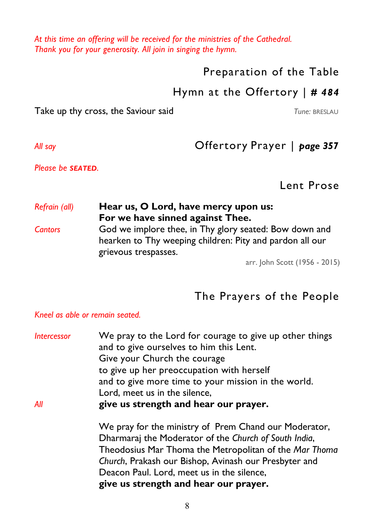*At this time an offering will be received for the ministries of the Cathedral. Thank you for your generosity. All join in singing the hymn.* 

Preparation of the Table

### Hymn at the Offertory | *# 484*

Take up thy cross, the Saviour said **Take up the Saviour said** *Tune: BRESLAU* 

# *All say* Offertory Prayer | *page 357*

*Please be SEATED.* 

Lent Prose

| Hear us, O Lord, have mercy upon us:                                                                                                       |
|--------------------------------------------------------------------------------------------------------------------------------------------|
| For we have sinned against Thee.                                                                                                           |
| God we implore thee, in Thy glory seated: Bow down and<br>hearken to Thy weeping children: Pity and pardon all our<br>grievous trespasses. |
|                                                                                                                                            |

arr. John Scott (1956 - 2015)

# The Prayers of the People

#### *Kneel as able or remain seated.*

| <b>Intercessor</b> | We pray to the Lord for courage to give up other things<br>and to give ourselves to him this Lent. |
|--------------------|----------------------------------------------------------------------------------------------------|
|                    | Give your Church the courage                                                                       |
|                    | to give up her preoccupation with herself                                                          |
|                    | and to give more time to your mission in the world.                                                |
|                    | Lord, meet us in the silence,                                                                      |
| All                | give us strength and hear our prayer.                                                              |
|                    | We pray for the ministry of Prem Chand our Moderator,                                              |
|                    | Dharmaraj the Moderator of the Church of South India,                                              |
|                    | Theodosius Mar Thoma the Metropolitan of the Mar Thoma                                             |
|                    | Church, Prakash our Bishop, Avinash our Presbyter and                                              |
|                    | Deacon Paul. Lord, meet us in the silence,                                                         |
|                    | give us strength and hear our prayer.                                                              |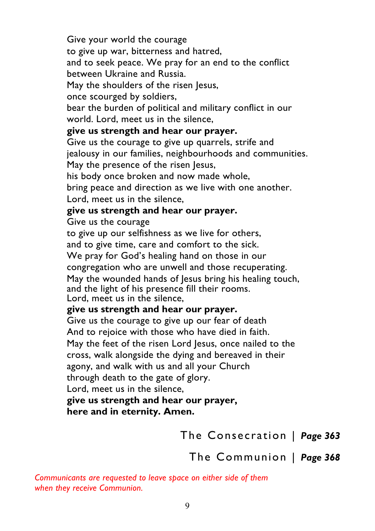Give your world the courage

to give up war, bitterness and hatred,

 and to seek peace. We pray for an end to the conflict between Ukraine and Russia.

May the shoulders of the risen Jesus,

once scourged by soldiers,

 bear the burden of political and military conflict in our world. Lord, meet us in the silence,

#### **give us strength and hear our prayer.**

 Give us the courage to give up quarrels, strife and jealousy in our families, neighbourhoods and communities. May the presence of the risen Jesus,

his body once broken and now made whole,

 bring peace and direction as we live with one another. Lord, meet us in the silence,

#### **give us strength and hear our prayer.**

Give us the courage

to give up our selfishness as we live for others,

and to give time, care and comfort to the sick.

We pray for God's healing hand on those in our

congregation who are unwell and those recuperating.

May the wounded hands of lesus bring his healing touch,

and the light of his presence fill their rooms.

Lord, meet us in the silence,

#### **give us strength and hear our prayer.**

Give us the courage to give up our fear of death And to rejoice with those who have died in faith. May the feet of the risen Lord Jesus, once nailed to the cross, walk alongside the dying and bereaved in their agony, and walk with us and all your Church through death to the gate of glory.

Lord, meet us in the silence,

 **give us strength and hear our prayer, here and in eternity. Amen.**

The Consecration | *Page 363* 

The Communion | *Page 368* 

*Communicants are requested to leave space on either side of them when they receive Communion.*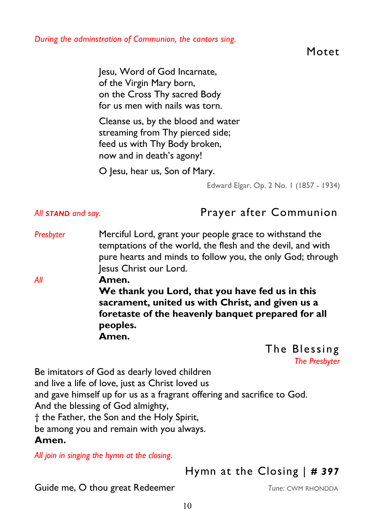*During the adminstration of Communion, the cantors sing.* 

Motet

 Jesu, Word of God Incarnate, of the Virgin Mary born, on the Cross Thy sacred Body for us men with nails was torn.

 Cleanse us, by the blood and water streaming from Thy pierced side; feed us with Thy Body broken, now and in death's agony!

O Jesu, hear us, Son of Mary.

Edward Elgar, Op. 2 No. 1 (1857 - 1934)

All **STAND** and say. **Prayer after Communion** 

- *Presbyter* Merciful Lord, grant your people grace to withstand the temptations of the world, the flesh and the devil, and with pure hearts and minds to follow you, the only God; through Jesus Christ our Lord.
- *All* **Amen.**  **We thank you Lord, that you have fed us in this sacrament, united us with Christ, and given us a foretaste of the heavenly banquet prepared for all peoples. Amen.**

The Blessing *The Presbyter* 

Be imitators of God as dearly loved children and live a life of love, just as Christ loved us and gave himself up for us as a fragrant offering and sacrifice to God. And the blessing of God almighty, † the Father, the Son and the Holy Spirit, be among you and remain with you always.

#### **Amen.**

*All join in singing the hymn at the closing.* 

Hymn at the Closing | *# 397* 

Guide me, O thou great Redeemer *Tune: CWM RHONDDA*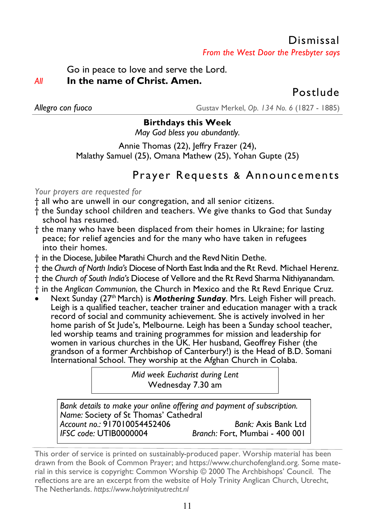## Dismissal *From the West Door the Presbyter says*

Go in peace to love and serve the Lord. *All* **In the name of Christ. Amen.** 

Postlude

*Allegro con fuoco* Gustav Merkel, *Op. 134 No. 6* (1827 - 1885)

#### **Birthdays this Week**

*May God bless you abundantly.* 

Annie Thomas (22), Jeffry Frazer (24), Malathy Samuel (25), Omana Mathew (25), Yohan Gupte (25)

# Prayer Requests & Announcements

*Your prayers are requested for* 

- † all who are unwell in our congregation, and all senior citizens.
- † the Sunday school children and teachers. We give thanks to God that Sunday school has resumed.
- † the many who have been displaced from their homes in Ukraine; for lasting peace; for relief agencies and for the many who have taken in refugees into their homes.
- † in the Diocese, Jubilee Marathi Church and the Revd Nitin Dethe.
- † the *Church of North India's* Diocese of North East India and the Rt Revd. Michael Herenz.
- † the *Church of South India's* Diocese of Vellore and the Rt Revd Sharma Nithiyanandam.
- † in the *Anglican Communion*, the Church in Mexico and the Rt Revd Enrique Cruz.
- Next Sunday (27<sup>th</sup> March) is **Mothering Sunday**. Mrs. Leigh Fisher will preach. Leigh is a qualified teacher, teacher trainer and education manager with a track record of social and community achievement. She is actively involved in her home parish of St Jude's, Melbourne. Leigh has been a Sunday school teacher, led worship teams and training programmes for mission and leadership for women in various churches in the UK. Her husband, Geoffrey Fisher (the grandson of a former Archbishop of Canterbury!) is the Head of B.D. Somani International School. They worship at the Afghan Church in Colaba.

*Mid week Eucharist during Lent*  Wednesday 7.30 am

*Bank details to make your online offering and payment of subscription. Name:* Society of St Thomas' Cathedral *Account no.:* 917010054452406 *Bank:* Axis Bank Ltd *Branch: Fort, Mumbai - 400 001* 

This order of service is printed on sustainably-produced paper. Worship material has been drawn from the Book of Common Prayer; and https://www.churchofengland.org. Some material in this service is copyright: Common Worship © 2000 The Archbishops' Council. The reflections are are an excerpt from the website of Holy Trinity Anglican Church, Utrecht, The Netherlands. *https://www.holytrinityutrecht.nl*